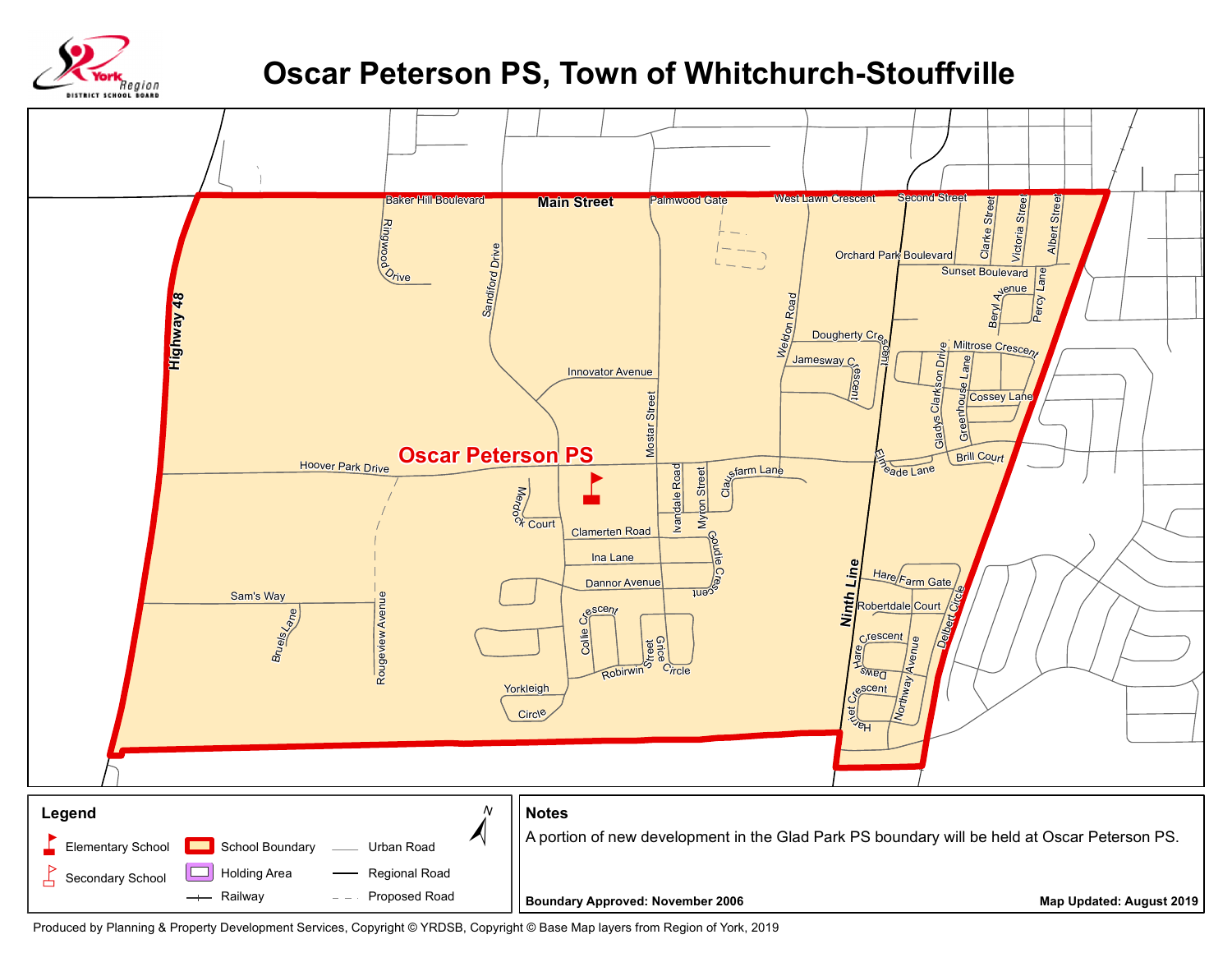

## **Oscar Peterson PS, Town of Whitchurch-Stouffville**



Produced by Planning & Property Development Services, Copyright © YRDSB, Copyright © Base Map layers from Region of York, 2019